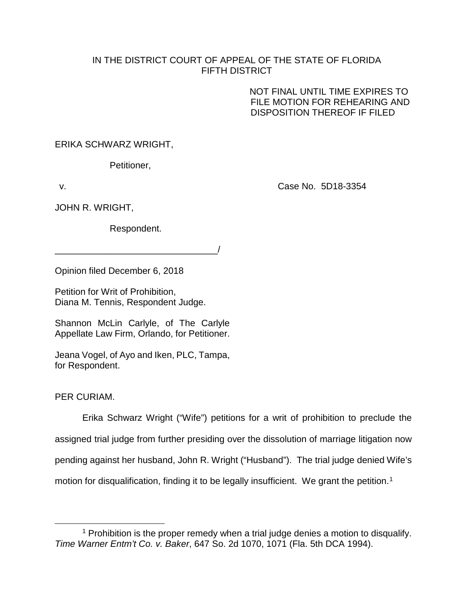## IN THE DISTRICT COURT OF APPEAL OF THE STATE OF FLORIDA FIFTH DISTRICT

NOT FINAL UNTIL TIME EXPIRES TO FILE MOTION FOR REHEARING AND DISPOSITION THEREOF IF FILED

ERIKA SCHWARZ WRIGHT,

Petitioner,

v. Case No. 5D18-3354

JOHN R. WRIGHT,

Respondent.

 $\overline{\phantom{a}}$ 

Opinion filed December 6, 2018

Petition for Writ of Prohibition, Diana M. Tennis, Respondent Judge.

Shannon McLin Carlyle, of The Carlyle Appellate Law Firm, Orlando, for Petitioner.

Jeana Vogel, of Ayo and Iken, PLC, Tampa, for Respondent.

PER CURIAM.

Erika Schwarz Wright ("Wife") petitions for a writ of prohibition to preclude the assigned trial judge from further presiding over the dissolution of marriage litigation now pending against her husband, John R. Wright ("Husband"). The trial judge denied Wife's motion for disqualification, finding it to be legally insufficient. We grant the petition.<sup>[1](#page-0-0)</sup>

<span id="page-0-0"></span><sup>&</sup>lt;sup>1</sup> Prohibition is the proper remedy when a trial judge denies a motion to disqualify. *Time Warner Entm't Co. v. Baker*, 647 So. 2d 1070, 1071 (Fla. 5th DCA 1994).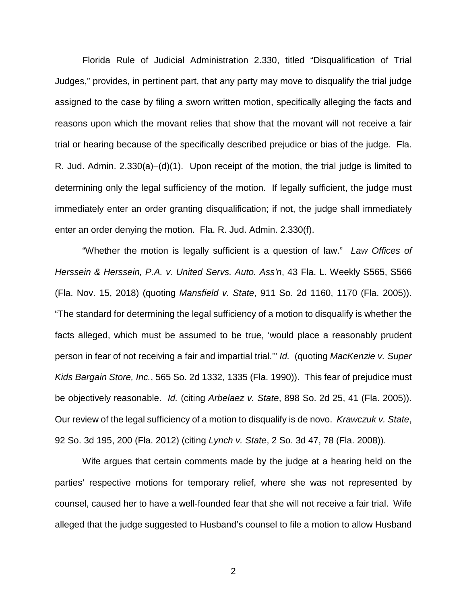Florida Rule of Judicial Administration 2.330, titled "Disqualification of Trial Judges," provides, in pertinent part, that any party may move to disqualify the trial judge assigned to the case by filing a sworn written motion, specifically alleging the facts and reasons upon which the movant relies that show that the movant will not receive a fair trial or hearing because of the specifically described prejudice or bias of the judge. Fla. R. Jud. Admin. 2.330(a)−(d)(1). Upon receipt of the motion, the trial judge is limited to determining only the legal sufficiency of the motion. If legally sufficient, the judge must immediately enter an order granting disqualification; if not, the judge shall immediately enter an order denying the motion. Fla. R. Jud. Admin. 2.330(f).

"Whether the motion is legally sufficient is a question of law." *Law Offices of Herssein & Herssein, P.A. v. United Servs. Auto. Ass'n*, 43 Fla. L. Weekly S565, S566 (Fla. Nov. 15, 2018) (quoting *Mansfield v. State*, 911 So. 2d 1160, 1170 (Fla. 2005)). "The standard for determining the legal sufficiency of a motion to disqualify is whether the facts alleged, which must be assumed to be true, 'would place a reasonably prudent person in fear of not receiving a fair and impartial trial.'" *Id.* (quoting *MacKenzie v. Super Kids Bargain Store, Inc.*, 565 So. 2d 1332, 1335 (Fla. 1990)). This fear of prejudice must be objectively reasonable. *Id.* (citing *Arbelaez v. State*, 898 So. 2d 25, 41 (Fla. 2005)). Our review of the legal sufficiency of a motion to disqualify is de novo. *Krawczuk v. State*, 92 So. 3d 195, 200 (Fla. 2012) (citing *Lynch v. State*, 2 So. 3d 47, 78 (Fla. 2008)).

Wife argues that certain comments made by the judge at a hearing held on the parties' respective motions for temporary relief, where she was not represented by counsel, caused her to have a well-founded fear that she will not receive a fair trial. Wife alleged that the judge suggested to Husband's counsel to file a motion to allow Husband

2